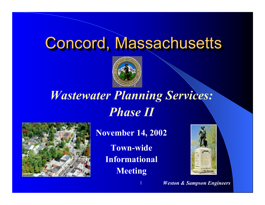## Concord, Massachusetts



## *Wastewater Planning Services: Phase II*



**November 14, 2002**

**Town-wideInformational Meeting**

1



*Weston & Sampson Engineers*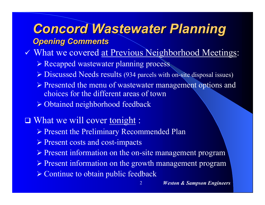## *Concord Wastewater Planning Concord Wastewater Planning Opening Comments Opening Comments*

- V What we covered at Previous Neighborhood Meetings:
	- ¾ Recapped wastewater planning process
	- ¾ Discussed Needs results (934 parcels with on-site disposal issues)
	- ¾ Presented the menu of wastewater management options and choices for the different areas of town
	- ¾ Obtained neighborhood feedback

#### What we will cover tonight :

- ¾ Present the Preliminary Recommended Plan
- ¾ Present costs and cost-impacts
- ¾ Present information on the on-site management program
- ¾ Present information on the growth management program

2

¾ Continue to obtain public feedback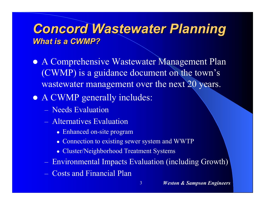#### *Concord Wastewater Planning Concord Wastewater Planning What is a CWMP? What is a CWMP?*

- $\bullet$  A Comprehensive Wastewater Management Plan (CWMP) is a guidance document on the town's wastewater management over the next 20 years.
- A CWMP generally includes:
	- Needs Evaluation
	- Alternatives Evaluation
		- Enhanced on-site program
		- Connection to existing sewer system and WWTP
		- Cluster/Neighborhood Treatment Systems
	- Environmental Impacts Evaluation (including Growth)

3

– Costs and Financial Plan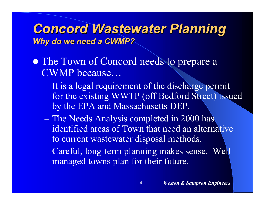#### *Concord Wastewater Planning Concord Wastewater Planning Why do we need a CWMP? Why do we need a CWMP?*

- The Town of Concord needs to prepare a CWMP because…
	- $-$  It is a legal requirement of the discharge permit for the existing WWTP (off Bedford Street) issued by the EPA and Massachusetts DEP.
	- The Needs Analysis completed in 2000 has identified areas of Town that need an alternative to current wastewater disposal methods.
	- Careful, long-term planning makes sense. Well managed towns plan for their future.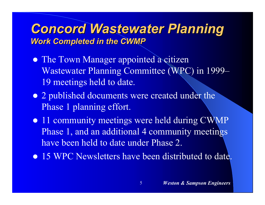#### *Concord Wastewater Planning Concord Wastewater Planning Work Completed in the CWMP*

- **The Town Manager appointed a citizen** Wastewater Planning Committee (WPC) in 1999– 19 meetings held to date.
- 2 published documents were created under the Phase 1 planning effort.
- 11 community meetings were held during CWMP Phase 1, and an additional 4 community meetings have been held to date under Phase 2.
- 15 WPC Newsletters have been distributed to date.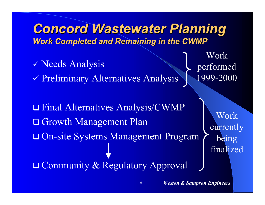#### *Concord Wastewater Planning Concord Wastewater Planning Work Completed and Remaining in the CWMP*

- 9 Needs Analysis
- 9 Preliminary Alternatives Analysis
- Workperformed 1999-2000

 Final Alternatives Analysis/CWMP □ Growth Management Plan On-site Systems Management Program **□ Community & Regulatory Approval** 

6

Workcurrently being finalized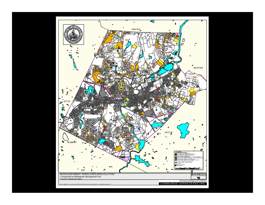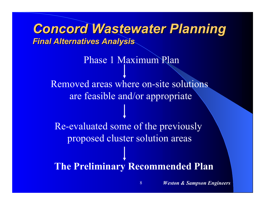*Concord Wastewater Planning Concord Wastewater Planning Final Alternatives Analysis Final Alternatives Analysis* **The Preliminary Recommended Plan** Phase 1 Maximum PlanRemoved areas where on-site solutions are feasible and/or appropriate Re-evaluated some of the previously proposed cluster solution areas

*Weston & Sampson Engineers*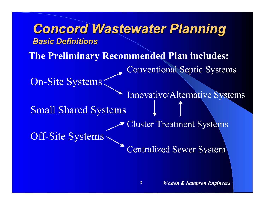*Concord Wastewater Planning Concord Wastewater Planning Basic Definitions Basic Definitions*Conventional Septic Systems On-Site Systems Innovative/Alternative Systems Small Shared Systems Cluster Treatment Systems Off-Site Systems Centralized Sewer System **The Preliminary Recommended Plan includes:**

9

*Weston & Sampson Engineers*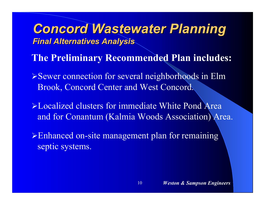**The Preliminary Recommended Plan includes:**

¾Sewer connection for several neighborhoods in Elm Brook, Concord Center and West Concord.

¾Localized clusters for immediate White Pond Area and for Conantum (Kalmia Woods Association) Area.

10

¾Enhanced on-site management plan for remaining septic systems.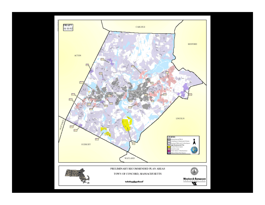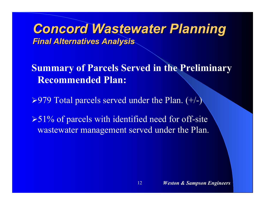**Summary of Parcels Served in the Preliminary Recommended Plan:**

12

 $\triangleright$ 979 Total parcels served under the Plan. (+/-)

 $>51\%$  of parcels with identified need for off-site wastewater management served under the Plan.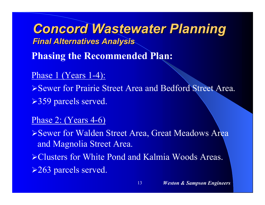*Concord Wastewater Planning Concord Wastewater Planning Final Alternatives Analysis Final Alternatives Analysis* **Phasing the Recommended Plan:** Phase 1 (Years 1-4): ¾Sewer for Prairie Street Area and Bedford Street Area. ¾359 parcels served.

#### Phase 2: (Years 4-6)

¾Sewer for Walden Street Area, Great Meadows Area and Magnolia Street Area.

¾Clusters for White Pond and Kalmia Woods Areas.

13

¾263 parcels served.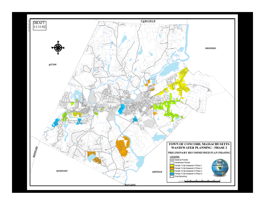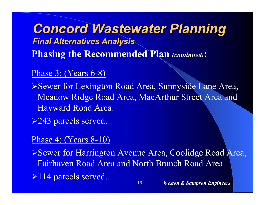*Concord Wastewater Planning Concord Wastewater Planning Final Alternatives Analysis Final Alternatives Analysis* **Phasing the Recommended Plan** *(continued)***:**

#### Phase 3: (Years 6-8)

¾Sewer for Lexington Road Area, Sunnyside Lane Area, Meadow Ridge Road Area, MacArthur Street Area and Hayward Road Area.

**≻243 parcels served.** 

#### Phase 4: (Years 8-10)

¾Sewer for Harrington Avenue Area, Coolidge Road Area, Fairhaven Road Area and North Branch Road Area.

15

 $\geq$ 114 parcels served.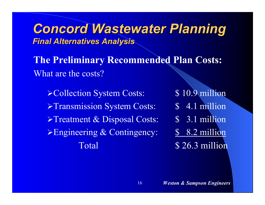**The Preliminary Recommended Plan Costs:** What are the costs?

16

> Collection System Costs: \$10.9 million >Transmission System Costs: \$ 4.1 million  $\triangleright$ Treatment & Disposal Costs:  $\widehat{\mathcal{S}}$  3.1 million Engineering & Contingency: \$ 8.2 million Total \$26.3 million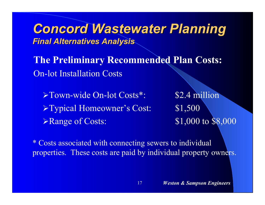**The Preliminary Recommended Plan Costs:** On-lot Installation Costs

¾Town-wide On-lot Costs\*: \$2.4 million <sup>¾</sup>Typical Homeowner's Cost: \$1,500 **Example of Costs:** \$1,000 to \$8,000

\* Costs associated with connecting sewers to individual properties. These costs are paid by individual property owners.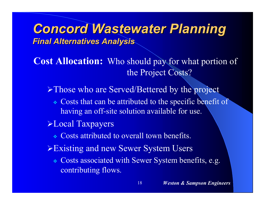**Cost Allocation:** Who should pay for what portion of the Project Costs?

▶Those who are Served/Bettered by the project

- Costs that can be attributed to the specific benefit of having an off-site solution available for use.
- ¾Local Taxpayers
	- Costs attributed to overall town benefits.
- ¾Existing and new Sewer System Users
	- Costs associated with Sewer System benefits, e.g. contributing flows.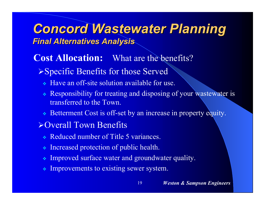#### **Cost Allocation:** What are the benefits?

#### ¾Specific Benefits for those Served

- Have an off-site solution available for use.
- Responsibility for treating and disposing of your wastewater is transferred to the Town.

19

Betterment Cost is off-set by an increase in property equity.

#### ¾Overall Town Benefits

- Reduced number of Title 5 variances.
- Increased protection of public health.
- $\mathcal{L}_{\mathcal{S}^{\mathcal{S}}}^{\mathcal{S}_{\mathcal{S}}}$ Improved surface water and groundwater quality.
- Improvements to existing sewer system.

#### *Weston & Sampson Engineers*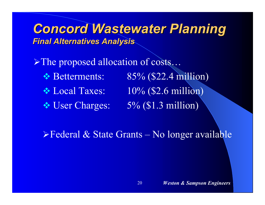¾The proposed allocation of costs…

- 
- 

❖ Betterments: 85% (\$22.4 million)  $\cdot$  Local Taxes:  $10\%$  (\$2.6 million) ◆ User Charges: 5% (\$1.3 million)

 $\triangleright$  Federal & State Grants – No longer available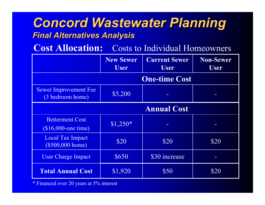**Cost Allocation:** Costs to Individual Homeowners

|                                                  | <b>New Sewer</b><br><b>User</b> | <b>Current Sewer</b><br><b>User</b> | <b>Non-Sewer</b><br><b>User</b> |
|--------------------------------------------------|---------------------------------|-------------------------------------|---------------------------------|
|                                                  |                                 | <b>One-time Cost</b>                |                                 |
| <b>Sewer Improvement Fee</b><br>(3 bedroom home) | \$5,200                         |                                     |                                 |
|                                                  |                                 | <b>Annual Cost</b>                  |                                 |
| <b>Betterment Cost</b><br>$($16,000$ -one time)  | $$1,250*$                       |                                     |                                 |
| Local Tax Impact<br>(\$500,000 home)             | \$20                            | \$20                                | \$20                            |
| <b>User Charge Impact</b>                        | \$650                           | \$30 increase                       |                                 |
| <b>Total Annual Cost</b>                         | \$1,920                         | \$50                                | \$20                            |

\* Financed over 20 years at 5% interest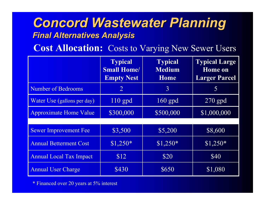**Cost Allocation:** Costs to Varying New Sewer Users

|                                | <b>Typical</b><br><b>Small Home/</b><br><b>Empty Nest</b> | <b>Typical</b><br><b>Medium</b><br><b>Home</b> | <b>Typical Large</b><br><b>Home</b> on<br><b>Larger Parcel</b> |
|--------------------------------|-----------------------------------------------------------|------------------------------------------------|----------------------------------------------------------------|
| <b>Number of Bedrooms</b>      | $\overline{2}$                                            | 3                                              | 5                                                              |
| Water Use (gallons per day)    | $110$ gpd                                                 | $160$ gpd                                      | $270$ gpd                                                      |
| <b>Approximate Home Value</b>  | \$300,000                                                 | \$500,000                                      | \$1,000,000                                                    |
|                                |                                                           |                                                |                                                                |
| <b>Sewer Improvement Fee</b>   | \$3,500                                                   | \$5,200                                        | \$8,600                                                        |
| <b>Annual Betterment Cost</b>  | $$1,250*$                                                 | $$1,250*$                                      | $$1,250*$                                                      |
| <b>Annual Local Tax Impact</b> | \$12                                                      | \$20                                           | \$40                                                           |
| <b>Annual User Charge</b>      | \$430                                                     | \$650                                          | \$1,080                                                        |

\* Financed over 20 years at 5% interest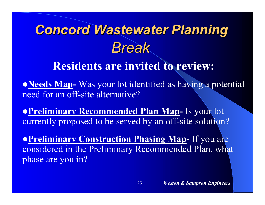# *Break Concord Wastewater Planning Concord Wastewater Planning*

## **Residents are invited to review:**

**• Needs Map-** Was your lot identified as having a potential need for an off-site alternative?

**• Preliminary Recommended Plan Map- Is your lot** currently proposed to be served by an off-site solution?

**• Preliminary Construction Phasing Map-** If you are considered in the Preliminary Recommended Plan, what phase are you in?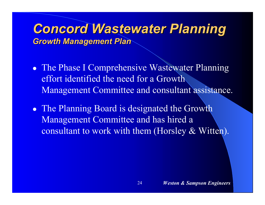- The Phase I Comprehensive Wastewater Planning effort identified the need for a Growth Management Committee and consultant assistance.
- The Planning Board is designated the Growth Management Committee and has hired a consultant to work with them (Horsley & Witten).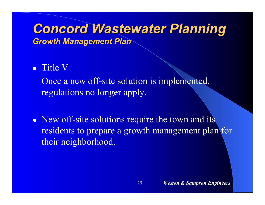#### • Title V

 Once a new off-site solution is implemented, regulations no longer apply.

• New off-site solutions require the town and its residents to prepare a growth management plan for their neighborhood.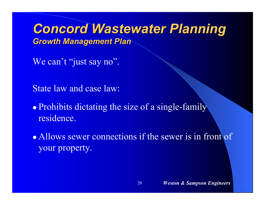We can't "just say no".

State law and case law:

• Prohibits dictating the size of a single-family residence.

• Allows sewer connections if the sewer is in front of your property.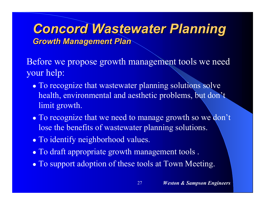Before we propose growth management tools we need your help:

- To recognize that wastewater planning solutions solve health, environmental and aesthetic problems, but don't limit growth.
- To recognize that we need to manage growth so we don't lose the benefits of wastewater planning solutions.

- To identify neighborhood values.
- To draft appropriate growth management tools .
- To support adoption of these tools at Town Meeting.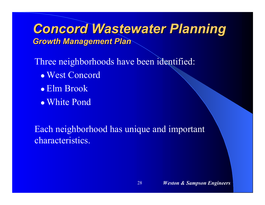Three neighborhoods have been identified:

- West Concord
- Elm Brook
- White Pond

Each neighborhood has unique and important characteristics.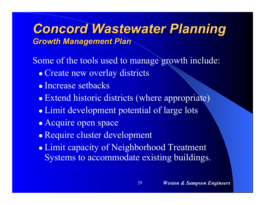Some of the tools used to manage growth include:

- Create new overlay districts
- Increase setbacks
- Extend historic districts (where appropriate)
- Limit development potential of large lots
- Acquire open space
- Require cluster development
- Limit capacity of Neighborhood Treatment Systems to accommodate existing buildings.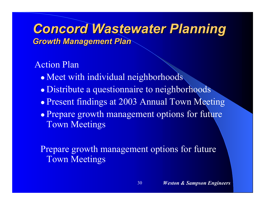Action Plan

- Meet with individual neighborhoods
- Distribute a questionnaire to neighborhoods
- Present findings at 2003 Annual Town Meeting
- Prepare growth management options for future Town Meetings

Prepare growth management options for future Town Meetings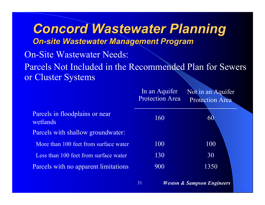*Concord Wastewater Planning Concord Wastewater Planning On-site Wastewater Management Program On-site Wastewater Management Program* On-Site Wastewater Needs: Parcels Not Included in the Recommended Plan for Sewers or Cluster Systems

|                                            | In an Aquifer<br><b>Protection Area</b> | Not in an Aquifer<br><b>Protection Area</b> |
|--------------------------------------------|-----------------------------------------|---------------------------------------------|
| Parcels in floodplains or near<br>wetlands | 160                                     | 60                                          |
| Parcels with shallow groundwater:          |                                         |                                             |
| More than 100 feet from surface water      | 100                                     | 100                                         |
| Less than 100 feet from surface water      | 130                                     | 30                                          |
| Parcels with no apparent limitations       | 900                                     | 1350                                        |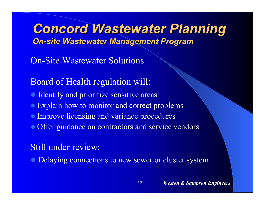*Concord Wastewater Planning Concord Wastewater Planning On-site Wastewater Management Program On-site Wastewater Management Program*

On-Site Wastewater Solutions

Board of Health regulation will:

- **Identify and prioritize sensitive areas**
- Explain how to monitor and correct problems
- Improve licensing and variance procedures
- Offer guidance on contractors and service vendors

#### Still under review:

• Delaying connections to new sewer or cluster system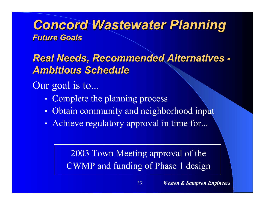#### *Concord Wastewater Planning Concord Wastewater Planning Future Goals Future Goals*

**Real Needs, Recommended Alternatives -***Ambitious Schedule Ambitious Schedule*

Our goal is to...

- $\bullet$ Complete the planning process
- $\bullet$ Obtain community and neighborhood input
- $\bullet$ • Achieve regulatory approval in time for...

2003 Town Meeting approval of the CWMP and funding of Phase 1 design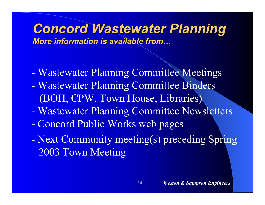#### *Concord Wastewater Planning Concord Wastewater Planning More information is available from… More information is available from…*

- Wastewater Planning Committee Meetings
- Wastewater Planning Committee Binders (BOH, CPW, Town House, Libraries)
- Wastewater Planning Committee Newsletters
- Concord Public Works web pages
- Next Community meeting(s) preceding Spring 2003 Town Meeting